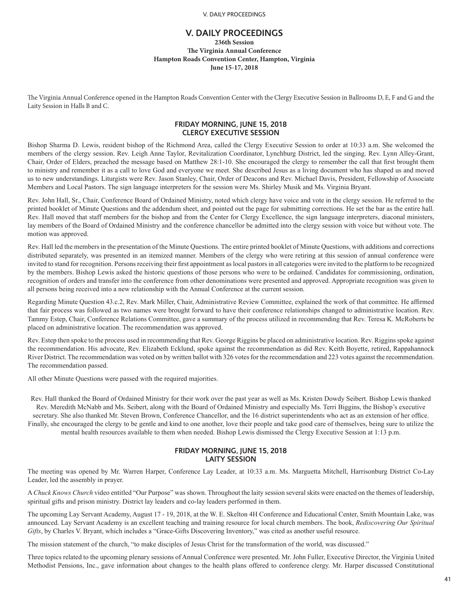## **V. DAILY PROCEEDINGS 236th Session The Virginia Annual Conference Hampton Roads Convention Center, Hampton, Virginia June 15-17, 2018**

The Virginia Annual Conference opened in the Hampton Roads Convention Center with the Clergy Executive Session in Ballrooms D, E, F and G and the Laity Session in Halls B and C.

# **FRIDAY MORNING, JUNE 15, 2018 CLERGY EXECUTIVE SESSION**

Bishop Sharma D. Lewis, resident bishop of the Richmond Area, called the Clergy Executive Session to order at 10:33 a.m. She welcomed the members of the clergy session. Rev. Leigh Anne Taylor, Revitalization Coordinator, Lynchburg District, led the singing. Rev. Lynn Alley-Grant, Chair, Order of Elders, preached the message based on Matthew 28:1-10. She encouraged the clergy to remember the call that first brought them to ministry and remember it as a call to love God and everyone we meet. She described Jesus as a living document who has shaped us and moved us to new understandings. Liturgists were Rev. Jason Stanley, Chair, Order of Deacons and Rev. Michael Davis, President, Fellowship of Associate Members and Local Pastors. The sign language interpreters for the session were Ms. Shirley Musik and Ms. Virginia Bryant.

Rev. John Hall, Sr., Chair, Conference Board of Ordained Ministry, noted which clergy have voice and vote in the clergy session. He referred to the printed booklet of Minute Questions and the addendum sheet, and pointed out the page for submitting corrections. He set the bar as the entire hall. Rev. Hall moved that staff members for the bishop and from the Center for Clergy Excellence, the sign language interpreters, diaconal ministers, lay members of the Board of Ordained Ministry and the conference chancellor be admitted into the clergy session with voice but without vote. The motion was approved.

Rev. Hall led the members in the presentation of the Minute Questions. The entire printed booklet of Minute Questions, with additions and corrections distributed separately, was presented in an itemized manner. Members of the clergy who were retiring at this session of annual conference were invited to stand for recognition. Persons receiving their first appointment as local pastors in all categories were invited to the platform to be recognized by the members. Bishop Lewis asked the historic questions of those persons who were to be ordained. Candidates for commissioning, ordination, recognition of orders and transfer into the conference from other denominations were presented and approved. Appropriate recognition was given to all persons being received into a new relationship with the Annual Conference at the current session.

Regarding Minute Question 43.c.2, Rev. Mark Miller, Chair, Administrative Review Committee, explained the work of that committee. He affirmed that fair process was followed as two names were brought forward to have their conference relationships changed to administrative location. Rev. Tammy Estep, Chair, Conference Relations Committee, gave a summary of the process utilized in recommending that Rev. Teresa K. McRoberts be placed on administrative location. The recommendation was approved.

Rev. Estep then spoke to the process used in recommending that Rev. George Riggins be placed on administrative location. Rev. Riggins spoke against the recommendation. His advocate, Rev. Elizabeth Ecklund, spoke against the recommendation as did Rev. Keith Boyette, retired, Rappahannock River District. The recommendation was voted on by written ballot with 326 votes for the recommendation and 223 votes against the recommendation. The recommendation passed.

All other Minute Questions were passed with the required majorities.

Rev. Hall thanked the Board of Ordained Ministry for their work over the past year as well as Ms. Kristen Dowdy Seibert. Bishop Lewis thanked Rev. Meredith McNabb and Ms. Seibert, along with the Board of Ordained Ministry and especially Ms. Terri Biggins, the Bishop's executive secretary. She also thanked Mr. Steven Brown, Conference Chancellor, and the 16 district superintendents who act as an extension of her office. Finally, she encouraged the clergy to be gentle and kind to one another, love their people and take good care of themselves, being sure to utilize the mental health resources available to them when needed. Bishop Lewis dismissed the Clergy Executive Session at 1:13 p.m.

# **FRIDAY MORNING, JUNE 15, 2018 LAITY SESSION**

The meeting was opened by Mr. Warren Harper, Conference Lay Leader, at 10:33 a.m. Ms. Marguetta Mitchell, Harrisonburg District Co-Lay Leader, led the assembly in prayer.

A *Chuck Knows Church* video entitled "Our Purpose" was shown. Throughout the laity session several skits were enacted on the themes of leadership, spiritual gifts and prison ministry. District lay leaders and co-lay leaders performed in them.

The upcoming Lay Servant Academy, August 17 - 19, 2018, at the W. E. Skelton 4H Conference and Educational Center, Smith Mountain Lake, was announced. Lay Servant Academy is an excellent teaching and training resource for local church members. The book, *Rediscovering Our Spiritual Gifts*, by Charles V. Bryant, which includes a "Grace-Gifts Discovering Inventory," was cited as another useful resource.

The mission statement of the church, "to make disciples of Jesus Christ for the transformation of the world, was discussed."

Three topics related to the upcoming plenary sessions of Annual Conference were presented. Mr. John Fuller, Executive Director, the Virginia United Methodist Pensions, Inc., gave information about changes to the health plans offered to conference clergy. Mr. Harper discussed Constitutional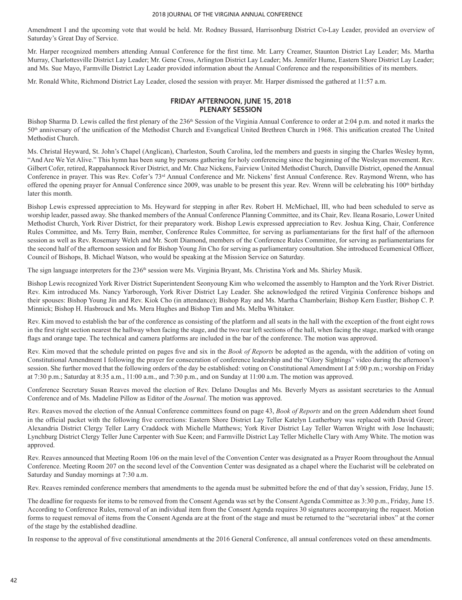Amendment I and the upcoming vote that would be held. Mr. Rodney Bussard, Harrisonburg District Co-Lay Leader, provided an overview of Saturday's Great Day of Service.

Mr. Harper recognized members attending Annual Conference for the first time. Mr. Larry Creamer, Staunton District Lay Leader; Ms. Martha Murray, Charlottesville District Lay Leader; Mr. Gene Cross, Arlington District Lay Leader; Ms. Jennifer Hume, Eastern Shore District Lay Leader; and Ms. Sue Mayo, Farmville District Lay Leader provided information about the Annual Conference and the responsibilities of its members.

Mr. Ronald White, Richmond District Lay Leader, closed the session with prayer. Mr. Harper dismissed the gathered at 11:57 a.m.

## **FRIDAY AFTERNOON, JUNE 15, 2018 PLENARY SESSION**

Bishop Sharma D. Lewis called the first plenary of the 236<sup>th</sup> Session of the Virginia Annual Conference to order at 2:04 p.m. and noted it marks the 50th anniversary of the unification of the Methodist Church and Evangelical United Brethren Church in 1968. This unification created The United Methodist Church.

Ms. Christal Heyward, St. John's Chapel (Anglican), Charleston, South Carolina, led the members and guests in singing the Charles Wesley hymn, "And Are We Yet Alive." This hymn has been sung by persons gathering for holy conferencing since the beginning of the Wesleyan movement. Rev. Gilbert Cofer, retired, Rappahannock River District, and Mr. Chaz Nickens, Fairview United Methodist Church, Danville District, opened the Annual Conference in prayer. This was Rev. Cofer's 73<sup>rd</sup> Annual Conference and Mr. Nickens' first Annual Conference. Rev. Raymond Wrenn, who has offered the opening prayer for Annual Conference since 2009, was unable to be present this year. Rev. Wrenn will be celebrating his 100<sup>th</sup> birthday later this month.

Bishop Lewis expressed appreciation to Ms. Heyward for stepping in after Rev. Robert H. McMichael, III, who had been scheduled to serve as worship leader, passed away. She thanked members of the Annual Conference Planning Committee, and its Chair, Rev. Ileana Rosario, Lower United Methodist Church, York River District, for their preparatory work. Bishop Lewis expressed appreciation to Rev. Joshua King, Chair, Conference Rules Committee, and Ms. Terry Bain, member, Conference Rules Committee, for serving as parliamentarians for the first half of the afternoon session as well as Rev. Rosemary Welch and Mr. Scott Diamond, members of the Conference Rules Committee, for serving as parliamentarians for the second half of the afternoon session and for Bishop Young Jin Cho for serving as parliamentary consultation. She introduced Ecumenical Officer, Council of Bishops, B. Michael Watson, who would be speaking at the Mission Service on Saturday.

The sign language interpreters for the 236<sup>th</sup> session were Ms. Virginia Bryant, Ms. Christina York and Ms. Shirley Musik.

Bishop Lewis recognized York River District Superintendent Seonyoung Kim who welcomed the assembly to Hampton and the York River District. Rev. Kim introduced Ms. Nancy Yarborough, York River District Lay Leader. She acknowledged the retired Virginia Conference bishops and their spouses: Bishop Young Jin and Rev. Kiok Cho (in attendance); Bishop Ray and Ms. Martha Chamberlain; Bishop Kern Eustler; Bishop C. P. Minnick; Bishop H. Hasbrouck and Ms. Mera Hughes and Bishop Tim and Ms. Melba Whitaker.

Rev. Kim moved to establish the bar of the conference as consisting of the platform and all seats in the hall with the exception of the front eight rows in the first right section nearest the hallway when facing the stage, and the two rear left sections of the hall, when facing the stage, marked with orange flags and orange tape. The technical and camera platforms are included in the bar of the conference. The motion was approved.

Rev. Kim moved that the schedule printed on pages five and six in the *Book of Reports* be adopted as the agenda, with the addition of voting on Constitutional Amendment I following the prayer for consecration of conference leadership and the "Glory Sightings" video during the afternoon's session. She further moved that the following orders of the day be established: voting on Constitutional Amendment I at 5:00 p.m.; worship on Friday at 7:30 p.m.; Saturday at 8:35 a.m., 11:00 a.m., and 7:30 p.m., and on Sunday at 11:00 a.m. The motion was approved.

Conference Secretary Susan Reaves moved the election of Rev. Delano Douglas and Ms. Beverly Myers as assistant secretaries to the Annual Conference and of Ms. Madeline Pillow as Editor of the *Journal*. The motion was approved.

Rev. Reaves moved the election of the Annual Conference committees found on page 43, *Book of Reports* and on the green Addendum sheet found in the official packet with the following five corrections: Eastern Shore District Lay Teller Katelyn Leatherbury was replaced with David Greer; Alexandria District Clergy Teller Larry Craddock with Michelle Matthews; York River District Lay Teller Warren Wright with Jose Inchausti; Lynchburg District Clergy Teller June Carpenter with Sue Keen; and Farmville District Lay Teller Michelle Clary with Amy White. The motion was approved.

Rev. Reaves announced that Meeting Room 106 on the main level of the Convention Center was designated as a Prayer Room throughout the Annual Conference. Meeting Room 207 on the second level of the Convention Center was designated as a chapel where the Eucharist will be celebrated on Saturday and Sunday mornings at 7:30 a.m.

Rev. Reaves reminded conference members that amendments to the agenda must be submitted before the end of that day's session, Friday, June 15.

The deadline for requests for items to be removed from the Consent Agenda was set by the Consent Agenda Committee as 3:30 p.m., Friday, June 15. According to Conference Rules, removal of an individual item from the Consent Agenda requires 30 signatures accompanying the request. Motion forms to request removal of items from the Consent Agenda are at the front of the stage and must be returned to the "secretarial inbox" at the corner of the stage by the established deadline.

In response to the approval of five constitutional amendments at the 2016 General Conference, all annual conferences voted on these amendments.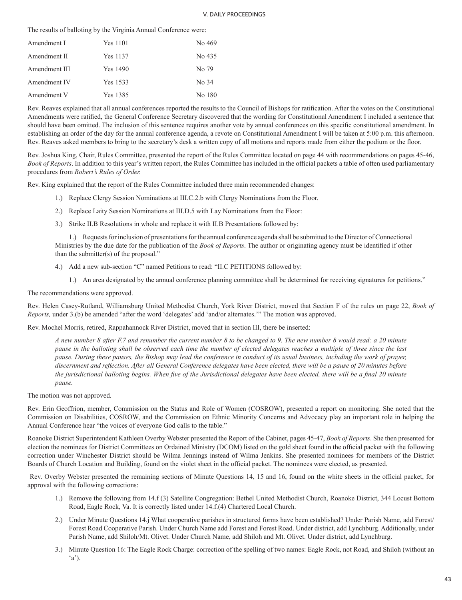The results of balloting by the Virginia Annual Conference were:

| Amendment I   | Yes 1101 | No 469 |
|---------------|----------|--------|
| Amendment II  | Yes 1137 | No 435 |
| Amendment III | Yes 1490 | No 79  |
| Amendment IV  | Yes 1533 | No 34  |
| Amendment V   | Yes 1385 | No 180 |

Rev. Reaves explained that all annual conferences reported the results to the Council of Bishops for ratification. After the votes on the Constitutional Amendments were ratified, the General Conference Secretary discovered that the wording for Constitutional Amendment I included a sentence that should have been omitted. The inclusion of this sentence requires another vote by annual conferences on this specific constitutional amendment. In establishing an order of the day for the annual conference agenda, a revote on Constitutional Amendment I will be taken at 5:00 p.m. this afternoon. Rev. Reaves asked members to bring to the secretary's desk a written copy of all motions and reports made from either the podium or the floor.

Rev. Joshua King, Chair, Rules Committee, presented the report of the Rules Committee located on page 44 with recommendations on pages 45-46, *Book of Reports*. In addition to this year's written report, the Rules Committee has included in the official packets a table of often used parliamentary procedures from *Robert's Rules of Order.*

Rev. King explained that the report of the Rules Committee included three main recommended changes:

- 1.) Replace Clergy Session Nominations at III.C.2.b with Clergy Nominations from the Floor.
- 2.) Replace Laity Session Nominations at III.D.5 with Lay Nominations from the Floor:
- 3.) Strike II.B Resolutions in whole and replace it with II.B Presentations followed by:

1.) Requests for inclusion of presentations for the annual conference agenda shall be submitted to the Director of Connectional Ministries by the due date for the publication of the *Book of Reports*. The author or originating agency must be identified if other than the submitter(s) of the proposal."

- 4.) Add a new sub-section "C" named Petitions to read: "II.C PETITIONS followed by:
	- 1.) An area designated by the annual conference planning committee shall be determined for receiving signatures for petitions."

The recommendations were approved.

Rev. Helen Casey-Rutland, Williamsburg United Methodist Church, York River District, moved that Section F of the rules on page 22, *Book of Reports,* under 3.(b) be amended "after the word 'delegates' add 'and/or alternates.'" The motion was approved.

Rev. Mochel Morris, retired, Rappahannock River District, moved that in section III, there be inserted:

*A new number 8 after F.7 and renumber the current number 8 to be changed to 9. The new number 8 would read: a 20 minute pause in the balloting shall be observed each time the number of elected delegates reaches a multiple of three since the last pause. During these pauses, the Bishop may lead the conference in conduct of its usual business, including the work of prayer, discernment and reflection. After all General Conference delegates have been elected, there will be a pause of 20 minutes before the jurisdictional balloting begins. When five of the Jurisdictional delegates have been elected, there will be a final 20 minute pause.*

The motion was not approved.

Rev. Erin Geoffrion, member, Commission on the Status and Role of Women (COSROW), presented a report on monitoring. She noted that the Commission on Disabilities, COSROW, and the Commission on Ethnic Minority Concerns and Advocacy play an important role in helping the Annual Conference hear "the voices of everyone God calls to the table."

Roanoke District Superintendent Kathleen Overby Webster presented the Report of the Cabinet, pages 45-47, *Book of Reports*. She then presented for election the nominees for District Committees on Ordained Ministry (DCOM) listed on the gold sheet found in the official packet with the following correction under Winchester District should be Wilma Jennings instead of Wilma Jenkins. She presented nominees for members of the District Boards of Church Location and Building, found on the violet sheet in the official packet. The nominees were elected, as presented.

 Rev. Overby Webster presented the remaining sections of Minute Questions 14, 15 and 16, found on the white sheets in the official packet, for approval with the following corrections:

- 1.) Remove the following from 14.f (3) Satellite Congregation: Bethel United Methodist Church, Roanoke District, 344 Locust Bottom Road, Eagle Rock, Va. It is correctly listed under 14.f.(4) Chartered Local Church.
- 2.) Under Minute Questions 14.j What cooperative parishes in structured forms have been established? Under Parish Name, add Forest/ Forest Road Cooperative Parish. Under Church Name add Forest and Forest Road. Under district, add Lynchburg. Additionally, under Parish Name, add Shiloh/Mt. Olivet. Under Church Name, add Shiloh and Mt. Olivet. Under district, add Lynchburg.
- 3.) Minute Question 16: The Eagle Rock Charge: correction of the spelling of two names: Eagle Rock, not Road, and Shiloh (without an  $(a')$ .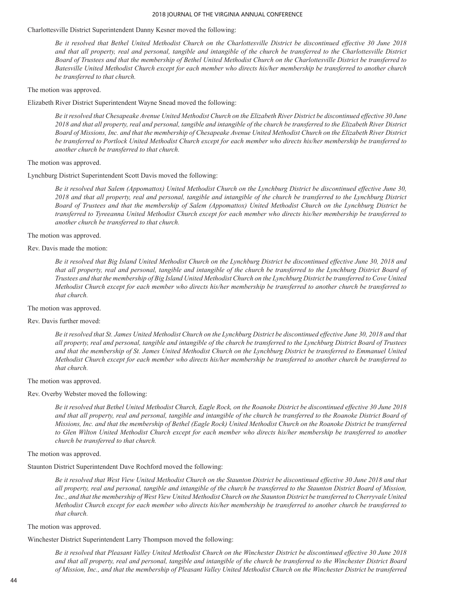### Charlottesville District Superintendent Danny Kesner moved the following:

*Be it resolved that Bethel United Methodist Church on the Charlottesville District be discontinued effective 30 June 2018 and that all property, real and personal, tangible and intangible of the church be transferred to the Charlottesville District Board of Trustees and that the membership of Bethel United Methodist Church on the Charlottesville District be transferred to Batesville United Methodist Church except for each member who directs his/her membership be transferred to another church be transferred to that church.* 

## The motion was approved.

Elizabeth River District Superintendent Wayne Snead moved the following:

*Be it resolved that Chesapeake Avenue United Methodist Church on the Elizabeth River District be discontinued effective 30 June 2018 and that all property, real and personal, tangible and intangible of the church be transferred to the Elizabeth River District Board of Missions, Inc. and that the membership of Chesapeake Avenue United Methodist Church on the Elizabeth River District be transferred to Portlock United Methodist Church except for each member who directs his/her membership be transferred to another church be transferred to that church.* 

The motion was approved.

#### Lynchburg District Superintendent Scott Davis moved the following:

*Be it resolved that Salem (Appomattox) United Methodist Church on the Lynchburg District be discontinued effective June 30, 2018 and that all property, real and personal, tangible and intangible of the church be transferred to the Lynchburg District Board of Trustees and that the membership of Salem (Appomattox) United Methodist Church on the Lynchburg District be transferred to Tyreeanna United Methodist Church except for each member who directs his/her membership be transferred to another church be transferred to that church.* 

#### The motion was approved.

### Rev. Davis made the motion:

*Be it resolved that Big Island United Methodist Church on the Lynchburg District be discontinued effective June 30, 2018 and that all property, real and personal, tangible and intangible of the church be transferred to the Lynchburg District Board of Trustees and that the membership of Big Island United Methodist Church on the Lynchburg District be transferred to Cove United Methodist Church except for each member who directs his/her membership be transferred to another church be transferred to that church.* 

## The motion was approved.

#### Rev. Davis further moved:

Be it resolved that St. James United Methodist Church on the Lynchburg District be discontinued effective June 30, 2018 and that *all property, real and personal, tangible and intangible of the church be transferred to the Lynchburg District Board of Trustees and that the membership of St. James United Methodist Church on the Lynchburg District be transferred to Emmanuel United Methodist Church except for each member who directs his/her membership be transferred to another church be transferred to that church.*

The motion was approved.

Rev. Overby Webster moved the following:

*Be it resolved that Bethel United Methodist Church, Eagle Rock, on the Roanoke District be discontinued effective 30 June 2018 and that all property, real and personal, tangible and intangible of the church be transferred to the Roanoke District Board of Missions, Inc. and that the membership of Bethel (Eagle Rock) United Methodist Church on the Roanoke District be transferred*  to Glen Wilton United Methodist Church except for each member who directs his/her membership be transferred to another *church be transferred to that church.* 

## The motion was approved.

Staunton District Superintendent Dave Rochford moved the following:

*Be it resolved that West View United Methodist Church on the Staunton District be discontinued effective 30 June 2018 and that all property, real and personal, tangible and intangible of the church be transferred to the Staunton District Board of Mission, Inc., and that the membership of West View United Methodist Church on the Staunton District be transferred to Cherryvale United Methodist Church except for each member who directs his/her membership be transferred to another church be transferred to that church.* 

## The motion was approved.

Winchester District Superintendent Larry Thompson moved the following:

*Be it resolved that Pleasant Valley United Methodist Church on the Winchester District be discontinued effective 30 June 2018 and that all property, real and personal, tangible and intangible of the church be transferred to the Winchester District Board of Mission, Inc., and that the membership of Pleasant Valley United Methodist Church on the Winchester District be transferred*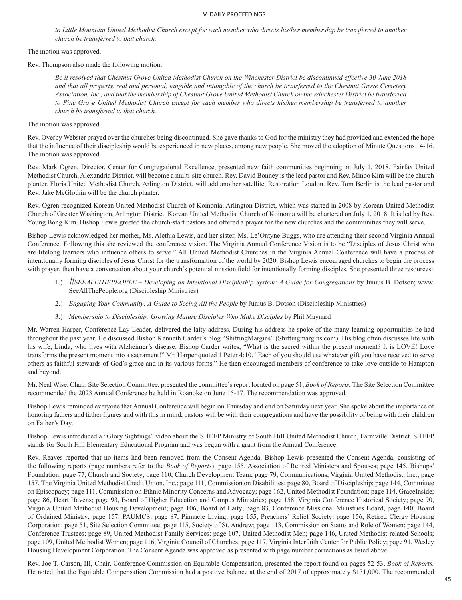to Little Mountain United Methodist Church except for each member who directs his/her membership be transferred to another *church be transferred to that church.* 

The motion was approved.

Rev. Thompson also made the following motion:

*Be it resolved that Chestnut Grove United Methodist Church on the Winchester District be discontinued effective 30 June 2018 and that all property, real and personal, tangible and intangible of the church be transferred to the Chestnut Grove Cemetery Association, Inc., and that the membership of Chestnut Grove United Methodist Church on the Winchester District be transferred*  to Pine Grove United Methodist Church except for each member who directs his/her membership be transferred to another *church be transferred to that church.* 

The motion was approved.

Rev. Overby Webster prayed over the churches being discontinued. She gave thanks to God for the ministry they had provided and extended the hope that the influence of their discipleship would be experienced in new places, among new people. She moved the adoption of Minute Questions 14-16. The motion was approved.

Rev. Mark Ogren, Director, Center for Congregational Excellence, presented new faith communities beginning on July 1, 2018. Fairfax United Methodist Church, Alexandria District, will become a multi-site church. Rev. David Bonney is the lead pastor and Rev. Minoo Kim will be the church planter. Floris United Methodist Church, Arlington District, will add another satellite, Restoration Loudon. Rev. Tom Berlin is the lead pastor and Rev. Jake McGlothin will be the church planter.

Rev. Ogren recognized Korean United Methodist Church of Koinonia, Arlington District, which was started in 2008 by Korean United Methodist Church of Greater Washington, Arlington District. Korean United Methodist Church of Koinonia will be chartered on July 1, 2018. It is led by Rev. Young Bong Kim. Bishop Lewis greeted the church-start pastors and offered a prayer for the new churches and the communities they will serve.

Bishop Lewis acknowledged her mother, Ms. Alethia Lewis, and her sister, Ms. Le'Ontyne Buggs, who are attending their second Virginia Annual Conference. Following this she reviewed the conference vision. The Virginia Annual Conference Vision is to be "Disciples of Jesus Christ who are lifelong learners who influence others to serve." All United Methodist Churches in the Virginia Annual Conference will have a process of intentionally forming disciples of Jesus Christ for the transformation of the world by 2020. Bishop Lewis encouraged churches to begin the process with prayer, then have a conversation about your church's potential mission field for intentionally forming disciples. She presented three resources:

- 1.) *#SEEALLTHEPEOPLE Developing an Intentional Discipleship System: A Guide for Congregations* by Junius B. Dotson; www. SeeAllThePeople.org (Discipleship Ministries)
- 2.) *Engaging Your Community: A Guide to Seeing All the People* by Junius B. Dotson (Discipleship Ministries)
- 3.) *Membership to Discipleship: Growing Mature Disciples Who Make Disciples* by Phil Maynard

Mr. Warren Harper, Conference Lay Leader, delivered the laity address. During his address he spoke of the many learning opportunities he had throughout the past year. He discussed Bishop Kenneth Carder's blog "ShiftingMargins" (Shiftingmargins.com). His blog often discusses life with his wife, Linda, who lives with Alzheimer's disease. Bishop Carder writes, "What is the sacred within the present moment? It is LOVE! Love transforms the present moment into a sacrament!" Mr. Harper quoted 1 Peter 4:10, "Each of you should use whatever gift you have received to serve others as faithful stewards of God's grace and in its various forms." He then encouraged members of conference to take love outside to Hampton and beyond.

Mr. Neal Wise, Chair, Site Selection Committee, presented the committee's report located on page 51, *Book of Reports.* The Site Selection Committee recommended the 2023 Annual Conference be held in Roanoke on June 15-17. The recommendation was approved.

Bishop Lewis reminded everyone that Annual Conference will begin on Thursday and end on Saturday next year. She spoke about the importance of honoring fathers and father figures and with this in mind, pastors will be with their congregations and have the possibility of being with their children on Father's Day.

Bishop Lewis introduced a "Glory Sightings" video about the SHEEP Ministry of South Hill United Methodist Church, Farmville District. SHEEP stands for South Hill Elementary Educational Program and was begun with a grant from the Annual Conference.

Rev. Reaves reported that no items had been removed from the Consent Agenda. Bishop Lewis presented the Consent Agenda, consisting of the following reports (page numbers refer to the *Book of Reports*): page 155, Association of Retired Ministers and Spouses; page 145, Bishops' Foundation; page 77, Church and Society; page 110, Church Development Team; page 79, Communications, Virginia United Methodist, Inc.; page 157, The Virginia United Methodist Credit Union, Inc.; page 111, Commission on Disabilities; page 80, Board of Discipleship; page 144, Committee on Episcopacy; page 111, Commission on Ethnic Minority Concerns and Advocacy; page 162, United Methodist Foundation; page 114, GraceInside; page 86, Heart Havens; page 93, Board of Higher Education and Campus Ministries; page 158, Virginia Conference Historical Society; page 90, Virginia United Methodist Housing Development; page 106, Board of Laity; page 83, Conference Missional Ministries Board; page 140, Board of Ordained Ministry; page 157, PAUMCS; page 87, Pinnacle Living; page 155, Preachers' Relief Society; page 156, Retired Clergy Housing Corporation; page 51, Site Selection Committee; page 115, Society of St. Andrew; page 113, Commission on Status and Role of Women; page 144, Conference Trustees; page 89, United Methodist Family Services; page 107, United Methodist Men; page 146, United Methodist-related Schools; page 109, United Methodist Women; page 116, Virginia Council of Churches; page 117, Virginia Interfaith Center for Public Policy; page 91, Wesley Housing Development Corporation. The Consent Agenda was approved as presented with page number corrections as listed above.

Rev. Joe T. Carson, III, Chair, Conference Commission on Equitable Compensation, presented the report found on pages 52-53, *Book of Reports.*  He noted that the Equitable Compensation Commission had a positive balance at the end of 2017 of approximately \$131,000. The recommended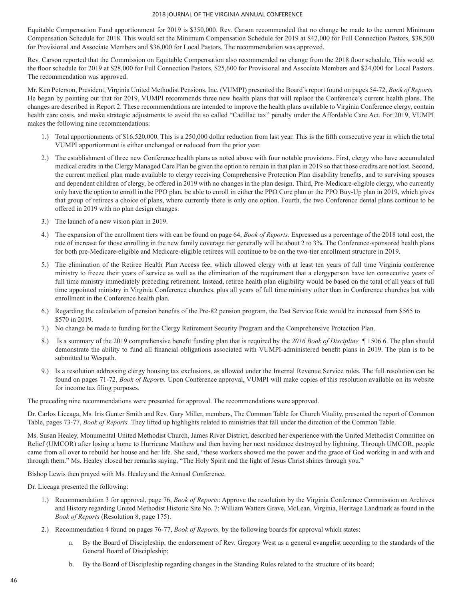Equitable Compensation Fund apportionment for 2019 is \$350,000. Rev. Carson recommended that no change be made to the current Minimum Compensation Schedule for 2018. This would set the Minimum Compensation Schedule for 2019 at \$42,000 for Full Connection Pastors, \$38,500 for Provisional and Associate Members and \$36,000 for Local Pastors. The recommendation was approved.

Rev. Carson reported that the Commission on Equitable Compensation also recommended no change from the 2018 floor schedule. This would set the floor schedule for 2019 at \$28,000 for Full Connection Pastors, \$25,600 for Provisional and Associate Members and \$24,000 for Local Pastors. The recommendation was approved.

Mr. Ken Peterson, President, Virginia United Methodist Pensions, Inc. (VUMPI) presented the Board's report found on pages 54-72, *Book of Reports.*  He began by pointing out that for 2019, VUMPI recommends three new health plans that will replace the Conference's current health plans. The changes are described in Report 2. These recommendations are intended to improve the health plans available to Virginia Conference clergy, contain health care costs, and make strategic adjustments to avoid the so called "Cadillac tax" penalty under the Affordable Care Act. For 2019, VUMPI makes the following nine recommendations:

- 1.) Total apportionments of \$16,520,000. This is a 250,000 dollar reduction from last year. This is the fifth consecutive year in which the total VUMPI apportionment is either unchanged or reduced from the prior year.
- 2.) The establishment of three new Conference health plans as noted above with four notable provisions. First, clergy who have accumulated medical credits in the Clergy Managed Care Plan be given the option to remain in that plan in 2019 so that those credits are not lost. Second, the current medical plan made available to clergy receiving Comprehensive Protection Plan disability benefits, and to surviving spouses and dependent children of clergy, be offered in 2019 with no changes in the plan design. Third, Pre-Medicare-eligible clergy, who currently only have the option to enroll in the PPO plan, be able to enroll in either the PPO Core plan or the PPO Buy-Up plan in 2019, which gives that group of retirees a choice of plans, where currently there is only one option. Fourth, the two Conference dental plans continue to be offered in 2019 with no plan design changes.
- 3.) The launch of a new vision plan in 2019.
- 4.) The expansion of the enrollment tiers with can be found on page 64, *Book of Reports.* Expressed as a percentage of the 2018 total cost, the rate of increase for those enrolling in the new family coverage tier generally will be about 2 to 3%. The Conference-sponsored health plans for both pre-Medicare-eligible and Medicare-eligible retirees will continue to be on the two-tier enrollment structure in 2019.
- 5.) The elimination of the Retiree Health Plan Access fee, which allowed clergy with at least ten years of full time Virginia conference ministry to freeze their years of service as well as the elimination of the requirement that a clergyperson have ten consecutive years of full time ministry immediately preceding retirement. Instead, retiree health plan eligibility would be based on the total of all years of full time appointed ministry in Virginia Conference churches, plus all years of full time ministry other than in Conference churches but with enrollment in the Conference health plan.
- 6.) Regarding the calculation of pension benefits of the Pre-82 pension program, the Past Service Rate would be increased from \$565 to \$570 in 2019.
- 7.) No change be made to funding for the Clergy Retirement Security Program and the Comprehensive Protection Plan.
- 8.) Is a summary of the 2019 comprehensive benefit funding plan that is required by the *2016 Book of Discipline, ¶* 1506.6. The plan should demonstrate the ability to fund all financial obligations associated with VUMPI-administered benefit plans in 2019. The plan is to be submitted to Wespath.
- 9.) Is a resolution addressing clergy housing tax exclusions, as allowed under the Internal Revenue Service rules. The full resolution can be found on pages 71-72, *Book of Reports.* Upon Conference approval, VUMPI will make copies of this resolution available on its website for income tax filing purposes.

The preceding nine recommendations were presented for approval. The recommendations were approved.

Dr. Carlos Liceaga, Ms. Iris Gunter Smith and Rev. Gary Miller, members, The Common Table for Church Vitality, presented the report of Common Table, pages 73-77, *Book of Reports.* They lifted up highlights related to ministries that fall under the direction of the Common Table.

Ms. Susan Healey, Monumental United Methodist Church, James River District, described her experience with the United Methodist Committee on Relief (UMCOR) after losing a home to Hurricane Matthew and then having her next residence destroyed by lightning. Through UMCOR, people came from all over to rebuild her house and her life. She said, "these workers showed me the power and the grace of God working in and with and through them." Ms. Healey closed her remarks saying, "The Holy Spirit and the light of Jesus Christ shines through you."

Bishop Lewis then prayed with Ms. Healey and the Annual Conference.

Dr. Liceaga presented the following:

- 1.) Recommendation 3 for approval, page 76, *Book of Reports*: Approve the resolution by the Virginia Conference Commission on Archives and History regarding United Methodist Historic Site No. 7: William Watters Grave, McLean, Virginia, Heritage Landmark as found in the *Book of Reports* (Resolution 8, page 175).
- 2.) Recommendation 4 found on pages 76-77, *Book of Reports,* by the following boards for approval which states:
	- a. By the Board of Discipleship, the endorsement of Rev. Gregory West as a general evangelist according to the standards of the General Board of Discipleship;
	- b. By the Board of Discipleship regarding changes in the Standing Rules related to the structure of its board;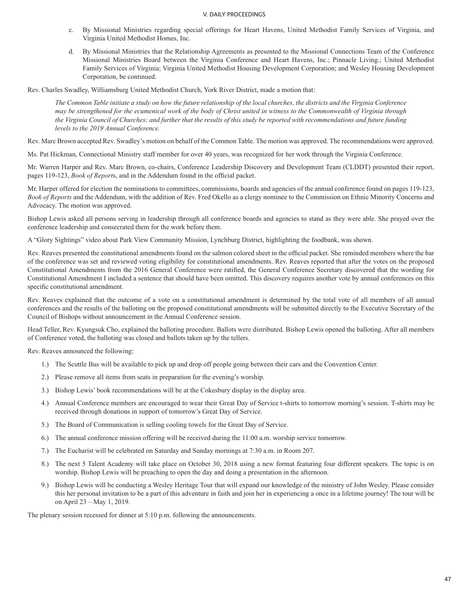- c. By Missional Ministries regarding special offerings for Heart Havens, United Methodist Family Services of Virginia, and Virginia United Methodist Homes, Inc.
- d. By Missional Ministries that the Relationship Agreements as presented to the Missional Connections Team of the Conference Missional Ministries Board between the Virginia Conference and Heart Havens, Inc.; Pinnacle Living.; United Methodist Family Services of Virginia; Virginia United Methodist Housing Development Corporation; and Wesley Housing Development Corporation, be continued.

Rev. Charles Swadley, Williamsburg United Methodist Church, York River District, made a motion that:

*The Common Table initiate a study on how the future relationship of the local churches, the districts and the Virginia Conference may be strengthened for the ecumenical work of the body of Christ united in witness to the Commonwealth of Virginia through the Virginia Council of Churches; and further that the results of this study be reported with recommendations and future funding levels to the 2019 Annual Conference.*

Rev. Marc Brown accepted Rev. Swadley's motion on behalf of the Common Table. The motion was approved. The recommendations were approved.

Ms. Pat Hickman, Connectional Ministry staff member for over 40 years, was recognized for her work through the Virginia Conference.

Mr. Warren Harper and Rev. Marc Brown, co-chairs, Conference Leadership Discovery and Development Team (CLDDT) presented their report, pages 119-123, *Book of Report*s, and in the Addendum found in the official packet.

Mr. Harper offered for election the nominations to committees, commissions, boards and agencies of the annual conference found on pages 119-123, *Book of Reports* and the Addendum, with the addition of Rev. Fred Okello as a clergy nominee to the Commission on Ethnic Minority Concerns and Advocacy. The motion was approved.

Bishop Lewis asked all persons serving in leadership through all conference boards and agencies to stand as they were able. She prayed over the conference leadership and consecrated them for the work before them.

A "Glory Sightings" video about Park View Community Mission, Lynchburg District, highlighting the foodbank, was shown.

Rev. Reaves presented the constitutional amendments found on the salmon colored sheet in the official packet. She reminded members where the bar of the conference was set and reviewed voting eligibility for constitutional amendments. Rev. Reaves reported that after the votes on the proposed Constitutional Amendments from the 2016 General Conference were ratified, the General Conference Secretary discovered that the wording for Constitutional Amendment I included a sentence that should have been omitted. This discovery requires another vote by annual conferences on this specific constitutional amendment.

Rev. Reaves explained that the outcome of a vote on a constitutional amendment is determined by the total vote of all members of all annual conferences and the results of the balloting on the proposed constitutional amendments will be submitted directly to the Executive Secretary of the Council of Bishops without announcement in the Annual Conference session.

Head Teller, Rev. Kyungsuk Cho, explained the balloting procedure. Ballots were distributed. Bishop Lewis opened the balloting. After all members of Conference voted, the balloting was closed and ballots taken up by the tellers.

Rev. Reaves announced the following:

- 1.) The Scuttle Bus will be available to pick up and drop off people going between their cars and the Convention Center.
- 2.) Please remove all items from seats in preparation for the evening's worship.
- 3.) Bishop Lewis' book recommendations will be at the Cokesbury display in the display area.
- 4.) Annual Conference members are encouraged to wear their Great Day of Service t-shirts to tomorrow morning's session. T-shirts may be received through donations in support of tomorrow's Great Day of Service.
- 5.) The Board of Communication is selling cooling towels for the Great Day of Service.
- 6.) The annual conference mission offering will be received during the 11:00 a.m. worship service tomorrow.
- 7.) The Eucharist will be celebrated on Saturday and Sunday mornings at 7:30 a.m. in Room 207.
- 8.) The next 5 Talent Academy will take place on October 30, 2018 using a new format featuring four different speakers. The topic is on worship. Bishop Lewis will be preaching to open the day and doing a presentation in the afternoon.
- 9.) Bishop Lewis will be conducting a Wesley Heritage Tour that will expand our knowledge of the ministry of John Wesley. Please consider this her personal invitation to be a part of this adventure in faith and join her in experiencing a once in a lifetime journey! The tour will be on April 23 – May 1, 2019.

The plenary session recessed for dinner at 5:10 p.m. following the announcements.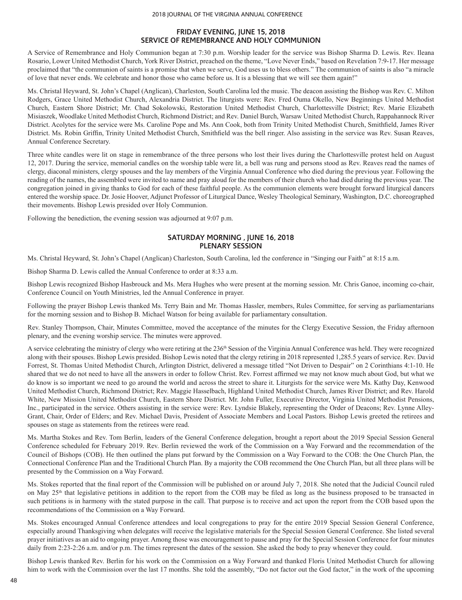# **FRIDAY EVENING, JUNE 15, 2018 SERVICE OF REMEMBRANCE AND HOLY COMMUNION**

A Service of Remembrance and Holy Communion began at 7:30 p.m. Worship leader for the service was Bishop Sharma D. Lewis. Rev. Ileana Rosario, Lower United Methodist Church, York River District, preached on the theme, "Love Never Ends," based on Revelation 7:9-17. Her message proclaimed that "the communion of saints is a promise that when we serve, God uses us to bless others." The communion of saints is also "a miracle of love that never ends. We celebrate and honor those who came before us. It is a blessing that we will see them again!"

Ms. Christal Heyward, St. John's Chapel (Anglican), Charleston, South Carolina led the music. The deacon assisting the Bishop was Rev. C. Milton Rodgers, Grace United Methodist Church, Alexandria District. The liturgists were: Rev. Fred Ouma Okello, New Beginnings United Methodist Church, Eastern Shore District; Mr. Chad Sokolowski, Restoration United Methodist Church, Charlottesville District; Rev. Marie Elizabeth Misiaszek, Woodlake United Methodist Church, Richmond District; and Rev. Daniel Burch, Warsaw United Methodist Church, Rappahannock River District. Acolytes for the service were Ms. Caroline Pope and Ms. Ann Cook, both from Trinity United Methodist Church, Smithfield, James River District. Ms. Robin Griffin, Trinity United Methodist Church, Smithfield was the bell ringer. Also assisting in the service was Rev. Susan Reaves, Annual Conference Secretary.

Three white candles were lit on stage in remembrance of the three persons who lost their lives during the Charlottesville protest held on August 12, 2017. During the service, memorial candles on the worship table were lit, a bell was rung and persons stood as Rev. Reaves read the names of clergy, diaconal ministers, clergy spouses and the lay members of the Virginia Annual Conference who died during the previous year. Following the reading of the names, the assembled were invited to name and pray aloud for the members of their church who had died during the previous year. The congregation joined in giving thanks to God for each of these faithful people. As the communion elements were brought forward liturgical dancers entered the worship space. Dr. Josie Hoover, Adjunct Professor of Liturgical Dance, Wesley Theological Seminary, Washington, D.C. choreographed their movements. Bishop Lewis presided over Holy Communion.

Following the benediction, the evening session was adjourned at 9:07 p.m.

# **SATURDAY MORNING , JUNE 16, 2018 PLENARY SESSION**

Ms. Christal Heyward, St. John's Chapel (Anglican) Charleston, South Carolina, led the conference in "Singing our Faith" at 8:15 a.m.

Bishop Sharma D. Lewis called the Annual Conference to order at 8:33 a.m.

Bishop Lewis recognized Bishop Hasbrouck and Ms. Mera Hughes who were present at the morning session. Mr. Chris Ganoe, incoming co-chair, Conference Council on Youth Ministries, led the Annual Conference in prayer.

Following the prayer Bishop Lewis thanked Ms. Terry Bain and Mr. Thomas Hassler, members, Rules Committee, for serving as parliamentarians for the morning session and to Bishop B. Michael Watson for being available for parliamentary consultation.

Rev. Stanley Thompson, Chair, Minutes Committee, moved the acceptance of the minutes for the Clergy Executive Session, the Friday afternoon plenary, and the evening worship service. The minutes were approved.

A service celebrating the ministry of clergy who were retiring at the 236<sup>th</sup> Session of the Virginia Annual Conference was held. They were recognized along with their spouses. Bishop Lewis presided. Bishop Lewis noted that the clergy retiring in 2018 represented 1,285.5 years of service. Rev. David Forrest, St. Thomas United Methodist Church, Arlington District, delivered a message titled "Not Driven to Despair" on 2 Corinthians 4:1-10. He shared that we do not need to have all the answers in order to follow Christ. Rev. Forrest affirmed we may not know much about God, but what we do know is so important we need to go around the world and across the street to share it. Liturgists for the service were Ms. Kathy Day, Kenwood United Methodist Church, Richmond District; Rev. Maggie Hasselbach, Highland United Methodist Church, James River District; and Rev. Harold White, New Mission United Methodist Church, Eastern Shore District. Mr. John Fuller, Executive Director, Virginia United Methodist Pensions, Inc., participated in the service. Others assisting in the service were: Rev. Lyndsie Blakely, representing the Order of Deacons; Rev. Lynne Alley-Grant, Chair, Order of Elders; and Rev. Michael Davis, President of Associate Members and Local Pastors. Bishop Lewis greeted the retirees and spouses on stage as statements from the retirees were read.

Ms. Martha Stokes and Rev. Tom Berlin, leaders of the General Conference delegation, brought a report about the 2019 Special Session General Conference scheduled for February 2019. Rev. Berlin reviewed the work of the Commission on a Way Forward and the recommendation of the Council of Bishops (COB). He then outlined the plans put forward by the Commission on a Way Forward to the COB: the One Church Plan, the Connectional Conference Plan and the Traditional Church Plan. By a majority the COB recommend the One Church Plan, but all three plans will be presented by the Commission on a Way Forward.

Ms. Stokes reported that the final report of the Commission will be published on or around July 7, 2018. She noted that the Judicial Council ruled on May 25th that legislative petitions in addition to the report from the COB may be filed as long as the business proposed to be transacted in such petitions is in harmony with the stated purpose in the call. That purpose is to receive and act upon the report from the COB based upon the recommendations of the Commission on a Way Forward.

Ms. Stokes encouraged Annual Conference attendees and local congregations to pray for the entire 2019 Special Session General Conference, especially around Thanksgiving when delegates will receive the legislative materials for the Special Session General Conference. She listed several prayer initiatives as an aid to ongoing prayer. Among those was encouragement to pause and pray for the Special Session Conference for four minutes daily from 2:23-2:26 a.m. and/or p.m. The times represent the dates of the session. She asked the body to pray whenever they could.

Bishop Lewis thanked Rev. Berlin for his work on the Commission on a Way Forward and thanked Floris United Methodist Church for allowing him to work with the Commission over the last 17 months. She told the assembly, "Do not factor out the God factor," in the work of the upcoming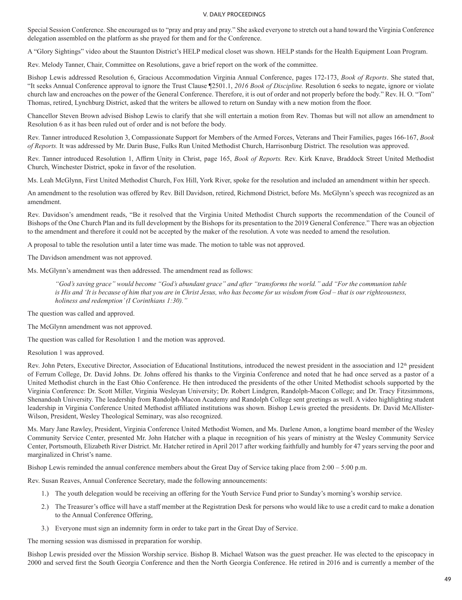Special Session Conference. She encouraged us to "pray and pray and pray." She asked everyone to stretch out a hand toward the Virginia Conference delegation assembled on the platform as she prayed for them and for the Conference.

A "Glory Sightings" video about the Staunton District's HELP medical closet was shown. HELP stands for the Health Equipment Loan Program.

Rev. Melody Tanner, Chair, Committee on Resolutions, gave a brief report on the work of the committee.

Bishop Lewis addressed Resolution 6, Gracious Accommodation Virginia Annual Conference, pages 172-173, *Book of Reports*. She stated that, "It seeks Annual Conference approval to ignore the Trust Clause ¶2501.1, *2016 Book of Discipline.* Resolution 6 seeks to negate, ignore or violate church law and encroaches on the power of the General Conference. Therefore, it is out of order and not properly before the body." Rev. H. O. "Tom" Thomas, retired, Lynchburg District, asked that the writers be allowed to return on Sunday with a new motion from the floor.

Chancellor Steven Brown advised Bishop Lewis to clarify that she will entertain a motion from Rev. Thomas but will not allow an amendment to Resolution 6 as it has been ruled out of order and is not before the body.

Rev. Tanner introduced Resolution 3, Compassionate Support for Members of the Armed Forces, Veterans and Their Families, pages 166-167, *Book of Reports.* It was addressed by Mr. Darin Buse, Fulks Run United Methodist Church, Harrisonburg District. The resolution was approved.

Rev. Tanner introduced Resolution 1, Affirm Unity in Christ, page 165, *Book of Reports.* Rev. Kirk Knave, Braddock Street United Methodist Church, Winchester District, spoke in favor of the resolution.

Ms. Leah McGlynn, First United Methodist Church, Fox Hill, York River, spoke for the resolution and included an amendment within her speech.

An amendment to the resolution was offered by Rev. Bill Davidson, retired, Richmond District, before Ms. McGlynn's speech was recognized as an amendment.

Rev. Davidson's amendment reads, "Be it resolved that the Virginia United Methodist Church supports the recommendation of the Council of Bishops of the One Church Plan and its full development by the Bishops for its presentation to the 2019 General Conference." There was an objection to the amendment and therefore it could not be accepted by the maker of the resolution. A vote was needed to amend the resolution.

A proposal to table the resolution until a later time was made. The motion to table was not approved.

The Davidson amendment was not approved.

Ms. McGlynn's amendment was then addressed. The amendment read as follows:

*"God's saving grace" would become "God's abundant grace" and after "transforms the world." add "For the communion table is His and 'It is because of him that you are in Christ Jesus, who has become for us wisdom from God – that is our righteousness, holiness and redemption' (I Corinthians 1:30)."* 

The question was called and approved.

The McGlynn amendment was not approved.

The question was called for Resolution 1 and the motion was approved.

Resolution 1 was approved.

Rev. John Peters, Executive Director, Association of Educational Institutions, introduced the newest president in the association and 12<sup>th</sup> president of Ferrum College, Dr. David Johns. Dr. Johns offered his thanks to the Virginia Conference and noted that he had once served as a pastor of a United Methodist church in the East Ohio Conference. He then introduced the presidents of the other United Methodist schools supported by the Virginia Conference: Dr. Scott Miller, Virginia Wesleyan University; Dr. Robert Lindgren, Randolph-Macon College; and Dr. Tracy Fitzsimmons, Shenandoah University. The leadership from Randolph-Macon Academy and Randolph College sent greetings as well. A video highlighting student leadership in Virginia Conference United Methodist affiliated institutions was shown. Bishop Lewis greeted the presidents. Dr. David McAllister-Wilson, President, Wesley Theological Seminary, was also recognized.

Ms. Mary Jane Rawley, President, Virginia Conference United Methodist Women, and Ms. Darlene Amon, a longtime board member of the Wesley Community Service Center, presented Mr. John Hatcher with a plaque in recognition of his years of ministry at the Wesley Community Service Center, Portsmouth, Elizabeth River District. Mr. Hatcher retired in April 2017 after working faithfully and humbly for 47 years serving the poor and marginalized in Christ's name.

Bishop Lewis reminded the annual conference members about the Great Day of Service taking place from 2:00 – 5:00 p.m.

Rev. Susan Reaves, Annual Conference Secretary, made the following announcements:

- 1.) The youth delegation would be receiving an offering for the Youth Service Fund prior to Sunday's morning's worship service.
- 2.) The Treasurer's office will have a staff member at the Registration Desk for persons who would like to use a credit card to make a donation to the Annual Conference Offering,
- 3.) Everyone must sign an indemnity form in order to take part in the Great Day of Service.

The morning session was dismissed in preparation for worship.

Bishop Lewis presided over the Mission Worship service. Bishop B. Michael Watson was the guest preacher. He was elected to the episcopacy in 2000 and served first the South Georgia Conference and then the North Georgia Conference. He retired in 2016 and is currently a member of the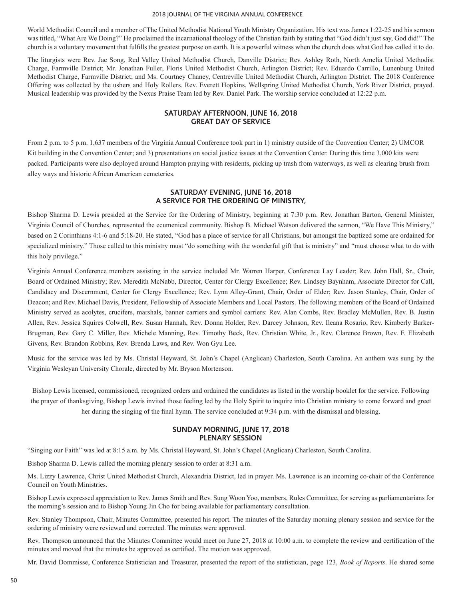World Methodist Council and a member of The United Methodist National Youth Ministry Organization. His text was James 1:22-25 and his sermon was titled, "What Are We Doing?" He proclaimed the incarnational theology of the Christian faith by stating that "God didn't just say, God did!" The church is a voluntary movement that fulfills the greatest purpose on earth. It is a powerful witness when the church does what God has called it to do.

The liturgists were Rev. Jae Song, Red Valley United Methodist Church, Danville District; Rev. Ashley Roth, North Amelia United Methodist Charge, Farmville District; Mr. Jonathan Fuller, Floris United Methodist Church, Arlington District; Rev. Eduardo Carrillo, Lunenburg United Methodist Charge, Farmville District; and Ms. Courtney Chaney, Centreville United Methodist Church, Arlington District. The 2018 Conference Offering was collected by the ushers and Holy Rollers. Rev. Everett Hopkins, Wellspring United Methodist Church, York River District, prayed. Musical leadership was provided by the Nexus Praise Team led by Rev. Daniel Park. The worship service concluded at 12:22 p.m.

# **SATURDAY AFTERNOON, JUNE 16, 2018 GREAT DAY OF SERVICE**

From 2 p.m. to 5 p.m. 1,637 members of the Virginia Annual Conference took part in 1) ministry outside of the Convention Center; 2) UMCOR Kit building in the Convention Center; and 3) presentations on social justice issues at the Convention Center. During this time 3,000 kits were packed. Participants were also deployed around Hampton praying with residents, picking up trash from waterways, as well as clearing brush from alley ways and historic African American cemeteries.

# **SATURDAY EVENING, JUNE 16, 2018 A SERVICE FOR THE ORDERING OF MINISTRY,**

Bishop Sharma D. Lewis presided at the Service for the Ordering of Ministry, beginning at 7:30 p.m. Rev. Jonathan Barton, General Minister, Virginia Council of Churches, represented the ecumenical community. Bishop B. Michael Watson delivered the sermon, "We Have This Ministry," based on 2 Corinthians 4:1-6 and 5:18-20. He stated, "God has a place of service for all Christians, but amongst the baptized some are ordained for specialized ministry." Those called to this ministry must "do something with the wonderful gift that is ministry" and "must choose what to do with this holy privilege."

Virginia Annual Conference members assisting in the service included Mr. Warren Harper, Conference Lay Leader; Rev. John Hall, Sr., Chair, Board of Ordained Ministry; Rev. Meredith McNabb, Director, Center for Clergy Excellence; Rev. Lindsey Baynham, Associate Director for Call, Candidacy and Discernment, Center for Clergy Excellence; Rev. Lynn Alley-Grant, Chair, Order of Elder; Rev. Jason Stanley, Chair, Order of Deacon; and Rev. Michael Davis, President, Fellowship of Associate Members and Local Pastors. The following members of the Board of Ordained Ministry served as acolytes, crucifers, marshals, banner carriers and symbol carriers: Rev. Alan Combs, Rev. Bradley McMullen, Rev. B. Justin Allen, Rev. Jessica Squires Colwell, Rev. Susan Hannah, Rev. Donna Holder, Rev. Darcey Johnson, Rev. Ileana Rosario, Rev. Kimberly Barker-Brugman, Rev. Gary C. Miller, Rev. Michele Manning, Rev. Timothy Beck, Rev. Christian White, Jr., Rev. Clarence Brown, Rev. F. Elizabeth Givens, Rev. Brandon Robbins, Rev. Brenda Laws, and Rev. Won Gyu Lee.

Music for the service was led by Ms. Christal Heyward, St. John's Chapel (Anglican) Charleston, South Carolina. An anthem was sung by the Virginia Wesleyan University Chorale, directed by Mr. Bryson Mortenson.

Bishop Lewis licensed, commissioned, recognized orders and ordained the candidates as listed in the worship booklet for the service. Following the prayer of thanksgiving, Bishop Lewis invited those feeling led by the Holy Spirit to inquire into Christian ministry to come forward and greet her during the singing of the final hymn. The service concluded at 9:34 p.m. with the dismissal and blessing.

# **SUNDAY MORNING, JUNE 17, 2018 PLENARY SESSION**

"Singing our Faith" was led at 8:15 a.m. by Ms. Christal Heyward, St. John's Chapel (Anglican) Charleston, South Carolina.

Bishop Sharma D. Lewis called the morning plenary session to order at 8:31 a.m.

Ms. Lizzy Lawrence, Christ United Methodist Church, Alexandria District, led in prayer. Ms. Lawrence is an incoming co-chair of the Conference Council on Youth Ministries.

Bishop Lewis expressed appreciation to Rev. James Smith and Rev. Sung Woon Yoo, members, Rules Committee, for serving as parliamentarians for the morning's session and to Bishop Young Jin Cho for being available for parliamentary consultation.

Rev. Stanley Thompson, Chair, Minutes Committee, presented his report. The minutes of the Saturday morning plenary session and service for the ordering of ministry were reviewed and corrected. The minutes were approved.

Rev. Thompson announced that the Minutes Committee would meet on June 27, 2018 at 10:00 a.m. to complete the review and certification of the minutes and moved that the minutes be approved as certified. The motion was approved.

Mr. David Dommisse, Conference Statistician and Treasurer, presented the report of the statistician, page 123, *Book of Reports*. He shared some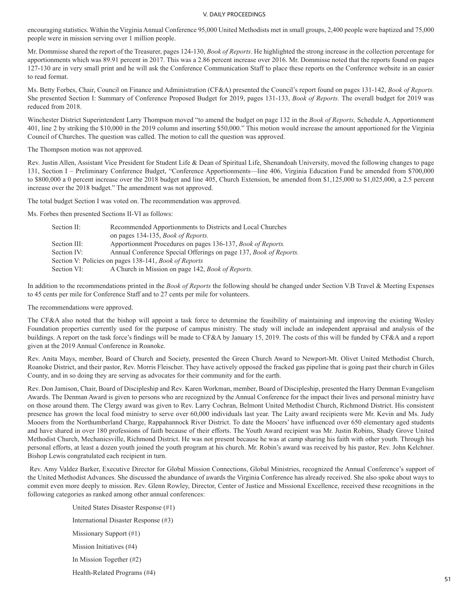encouraging statistics. Within the Virginia Annual Conference 95,000 United Methodists met in small groups, 2,400 people were baptized and 75,000 people were in mission serving over 1 million people.

Mr. Dommisse shared the report of the Treasurer, pages 124-130, *Book of Reports*. He highlighted the strong increase in the collection percentage for apportionments which was 89.91 percent in 2017. This was a 2.86 percent increase over 2016. Mr. Dommisse noted that the reports found on pages 127-130 are in very small print and he will ask the Conference Communication Staff to place these reports on the Conference website in an easier to read format.

Ms. Betty Forbes, Chair, Council on Finance and Administration (CF&A) presented the Council's report found on pages 131-142, *Book of Reports.*  She presented Section I: Summary of Conference Proposed Budget for 2019, pages 131-133, *Book of Reports.* The overall budget for 2019 was reduced from 2018.

Winchester District Superintendent Larry Thompson moved "to amend the budget on page 132 in the *Book of Reports,* Schedule A, Apportionment 401, line 2 by striking the \$10,000 in the 2019 column and inserting \$50,000." This motion would increase the amount apportioned for the Virginia Council of Churches. The question was called. The motion to call the question was approved.

The Thompson motion was not approved.

Rev. Justin Allen, Assistant Vice President for Student Life & Dean of Spiritual Life, Shenandoah University, moved the following changes to page 131, Section I – Preliminary Conference Budget, "Conference Apportionments—line 406, Virginia Education Fund be amended from \$700,000 to \$800,000 a 0 percent increase over the 2018 budget and line 405, Church Extension, be amended from \$1,125,000 to \$1,025,000, a 2.5 percent increase over the 2018 budget." The amendment was not approved.

The total budget Section I was voted on. The recommendation was approved.

Ms. Forbes then presented Sections II-VI as follows:

| Section II:  | Recommended Apportionments to Districts and Local Churches          |  |
|--------------|---------------------------------------------------------------------|--|
|              | on pages 134-135, <i>Book of Reports</i> .                          |  |
| Section III: | Apportionment Procedures on pages 136-137, <i>Book of Reports</i> . |  |
| Section IV:  | Annual Conference Special Offerings on page 137, Book of Reports.   |  |
|              | Section V: Policies on pages 138-141, <i>Book of Reports</i>        |  |
| Section VI:  | A Church in Mission on page 142, Book of Reports.                   |  |

In addition to the recommendations printed in the *Book of Reports* the following should be changed under Section V.B Travel & Meeting Expenses to 45 cents per mile for Conference Staff and to 27 cents per mile for volunteers.

The recommendations were approved.

The CF&A also noted that the bishop will appoint a task force to determine the feasibility of maintaining and improving the existing Wesley Foundation properties currently used for the purpose of campus ministry. The study will include an independent appraisal and analysis of the buildings. A report on the task force's findings will be made to CF&A by January 15, 2019. The costs of this will be funded by CF&A and a report given at the 2019 Annual Conference in Roanoke.

Rev. Anita Mays, member, Board of Church and Society, presented the Green Church Award to Newport-Mt. Olivet United Methodist Church, Roanoke District, and their pastor, Rev. Morris Fleischer. They have actively opposed the fracked gas pipeline that is going past their church in Giles County, and in so doing they are serving as advocates for their community and for the earth.

Rev. Don Jamison, Chair, Board of Discipleship and Rev. Karen Workman, member, Board of Discipleship, presented the Harry Denman Evangelism Awards. The Denman Award is given to persons who are recognized by the Annual Conference for the impact their lives and personal ministry have on those around them. The Clergy award was given to Rev. Larry Cochran, Belmont United Methodist Church, Richmond District. His consistent presence has grown the local food ministry to serve over 60,000 individuals last year. The Laity award recipients were Mr. Kevin and Ms. Judy Mooers from the Northumberland Charge, Rappahannock River District. To date the Mooers' have influenced over 650 elementary aged students and have shared in over 180 professions of faith because of their efforts. The Youth Award recipient was Mr. Justin Robins, Shady Grove United Methodist Church, Mechanicsville, Richmond District. He was not present because he was at camp sharing his faith with other youth. Through his personal efforts, at least a dozen youth joined the youth program at his church. Mr. Robin's award was received by his pastor, Rev. John Kelchner. Bishop Lewis congratulated each recipient in turn.

 Rev. Amy Valdez Barker, Executive Director for Global Mission Connections, Global Ministries, recognized the Annual Conference's support of the United Methodist Advances. She discussed the abundance of awards the Virginia Conference has already received. She also spoke about ways to commit even more deeply to mission. Rev. Glenn Rowley, Director, Center of Justice and Missional Excellence, received these recognitions in the following categories as ranked among other annual conferences:

> United States Disaster Response (#1) International Disaster Response (#3) Missionary Support (#1) Mission Initiatives (#4) In Mission Together (#2) Health-Related Programs (#4)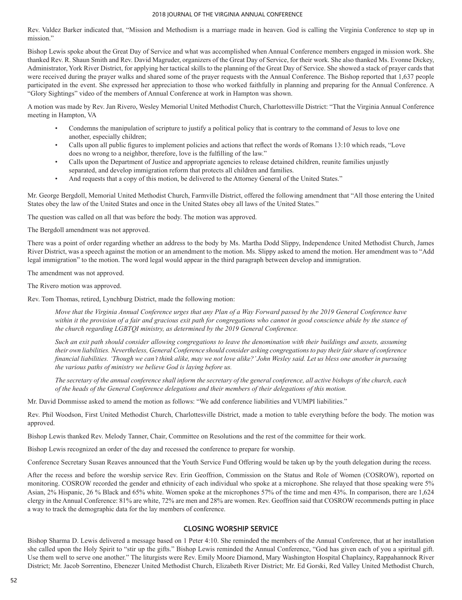Rev. Valdez Barker indicated that, "Mission and Methodism is a marriage made in heaven. God is calling the Virginia Conference to step up in mission."

Bishop Lewis spoke about the Great Day of Service and what was accomplished when Annual Conference members engaged in mission work. She thanked Rev. R. Shaun Smith and Rev. David Magruder, organizers of the Great Day of Service, for their work. She also thanked Ms. Evonne Dickey, Administrator, York River District, for applying her tactical skills to the planning of the Great Day of Service. She showed a stack of prayer cards that were received during the prayer walks and shared some of the prayer requests with the Annual Conference. The Bishop reported that 1,637 people participated in the event. She expressed her appreciation to those who worked faithfully in planning and preparing for the Annual Conference. A "Glory Sightings" video of the members of Annual Conference at work in Hampton was shown.

A motion was made by Rev. Jan Rivero, Wesley Memorial United Methodist Church, Charlottesville District: "That the Virginia Annual Conference meeting in Hampton, VA

- Condemns the manipulation of scripture to justify a political policy that is contrary to the command of Jesus to love one another, especially children;
- Calls upon all public figures to implement policies and actions that reflect the words of Romans 13:10 which reads, "Love does no wrong to a neighbor, therefore, love is the fulfilling of the law."
- Calls upon the Department of Justice and appropriate agencies to release detained children, reunite families unjustly separated, and develop immigration reform that protects all children and families.
- And requests that a copy of this motion, be delivered to the Attorney General of the United States."

Mr. George Bergdoll, Memorial United Methodist Church, Farmville District, offered the following amendment that "All those entering the United States obey the law of the United States and once in the United States obey all laws of the United States."

The question was called on all that was before the body. The motion was approved.

The Bergdoll amendment was not approved.

There was a point of order regarding whether an address to the body by Ms. Martha Dodd Slippy, Independence United Methodist Church, James River District, was a speech against the motion or an amendment to the motion. Ms. Slippy asked to amend the motion. Her amendment was to "Add legal immigration" to the motion. The word legal would appear in the third paragraph between develop and immigration.

The amendment was not approved.

The Rivero motion was approved.

Rev. Tom Thomas, retired, Lynchburg District, made the following motion:

*Move that the Virginia Annual Conference urges that any Plan of a Way Forward passed by the 2019 General Conference have within it the provision of a fair and gracious exit path for congregations who cannot in good conscience abide by the stance of the church regarding LGBTQI ministry, as determined by the 2019 General Conference.*

*Such an exit path should consider allowing congregations to leave the denomination with their buildings and assets, assuming their own liabilities. Nevertheless, General Conference should consider asking congregations to pay their fair share of conference financial liabilities. 'Though we can't think alike, may we not love alike?' John Wesley said. Let us bless one another in pursuing the various paths of ministry we believe God is laying before us.*

*The secretary of the annual conference shall inform the secretary of the general conference, all active bishops of the church, each of the heads of the General Conference delegations and their members of their delegations of this motion.*

Mr. David Dommisse asked to amend the motion as follows: "We add conference liabilities and VUMPI liabilities."

Rev. Phil Woodson, First United Methodist Church, Charlottesville District, made a motion to table everything before the body. The motion was approved.

Bishop Lewis thanked Rev. Melody Tanner, Chair, Committee on Resolutions and the rest of the committee for their work.

Bishop Lewis recognized an order of the day and recessed the conference to prepare for worship.

Conference Secretary Susan Reaves announced that the Youth Service Fund Offering would be taken up by the youth delegation during the recess.

After the recess and before the worship service Rev. Erin Geoffrion, Commission on the Status and Role of Women (COSROW), reported on monitoring. COSROW recorded the gender and ethnicity of each individual who spoke at a microphone. She relayed that those speaking were 5% Asian, 2% Hispanic, 26 % Black and 65% white. Women spoke at the microphones 57% of the time and men 43%. In comparison, there are 1,624 clergy in the Annual Conference: 81% are white, 72% are men and 28% are women. Rev. Geoffrion said that COSROW recommends putting in place a way to track the demographic data for the lay members of conference.

# **CLOSING WORSHIP SERVICE**

Bishop Sharma D. Lewis delivered a message based on 1 Peter 4:10. She reminded the members of the Annual Conference, that at her installation she called upon the Holy Spirit to "stir up the gifts." Bishop Lewis reminded the Annual Conference, "God has given each of you a spiritual gift. Use them well to serve one another." The liturgists were Rev. Emily Moore Diamond, Mary Washington Hospital Chaplaincy, Rappahannock River District; Mr. Jacob Sorrentino, Ebenezer United Methodist Church, Elizabeth River District; Mr. Ed Gorski, Red Valley United Methodist Church,